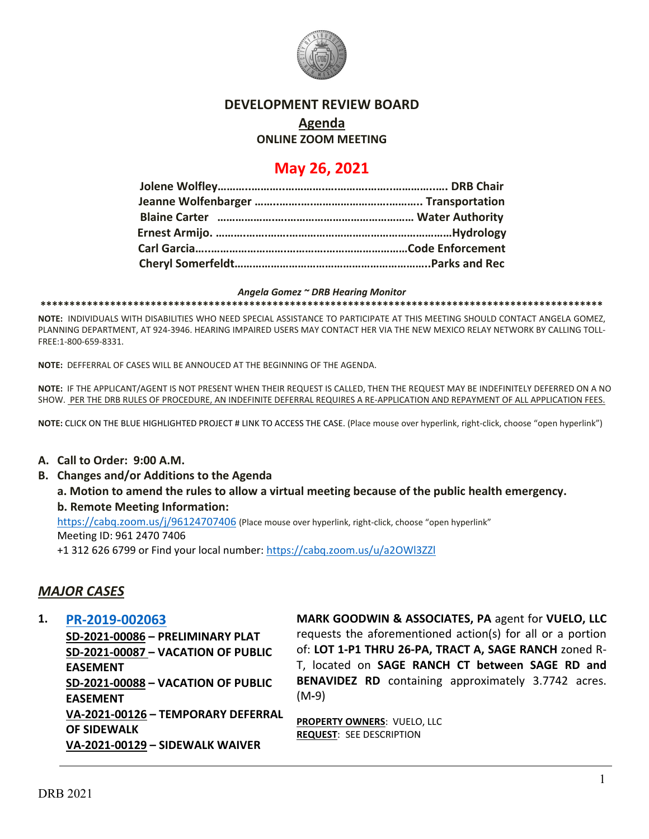

## **DEVELOPMENT REVIEW BOARD**

# **Agenda**

**ONLINE ZOOM MEETING**

## **May 26, 2021**

#### *Angela Gomez ~ DRB Hearing Monitor*

**\*\*\*\*\*\*\*\*\*\*\*\*\*\*\*\*\*\*\*\*\*\*\*\*\*\*\*\*\*\*\*\*\*\*\*\*\*\*\*\*\*\*\*\*\*\*\*\*\*\*\*\*\*\*\*\*\*\*\*\*\*\*\*\*\*\*\*\*\*\*\*\*\*\*\*\*\*\*\*\*\*\*\*\*\*\*\*\*\*\*\*\*\*\*\*\*\***

**NOTE:** INDIVIDUALS WITH DISABILITIES WHO NEED SPECIAL ASSISTANCE TO PARTICIPATE AT THIS MEETING SHOULD CONTACT ANGELA GOMEZ, PLANNING DEPARTMENT, AT 924-3946. HEARING IMPAIRED USERS MAY CONTACT HER VIA THE NEW MEXICO RELAY NETWORK BY CALLING TOLL-FREE:1-800-659-8331.

**NOTE:** DEFFERRAL OF CASES WILL BE ANNOUCED AT THE BEGINNING OF THE AGENDA.

**NOTE:** IF THE APPLICANT/AGENT IS NOT PRESENT WHEN THEIR REQUEST IS CALLED, THEN THE REQUEST MAY BE INDEFINITELY DEFERRED ON A NO SHOW. PER THE DRB RULES OF PROCEDURE, AN INDEFINITE DEFERRAL REQUIRES A RE-APPLICATION AND REPAYMENT OF ALL APPLICATION FEES.

**NOTE:** CLICK ON THE BLUE HIGHLIGHTED PROJECT # LINK TO ACCESS THE CASE. (Place mouse over hyperlink, right-click, choose "open hyperlink")

### **A. Call to Order: 9:00 A.M.**

- **B. Changes and/or Additions to the Agenda**
	- **a. Motion to amend the rules to allow a virtual meeting because of the public health emergency. b. Remote Meeting Information:**

<https://cabq.zoom.us/j/96124707406> (Place mouse over hyperlink, right-click, choose "open hyperlink" Meeting ID: 961 2470 7406

+1 312 626 6799 or Find your local number:<https://cabq.zoom.us/u/a2OWl3ZZl>

## *MAJOR CASES*

**1. [PR-2019-002063](http://data.cabq.gov/government/planning/DRB/PR-2019-002063/DRB%20Submittals/PR-2019-002063_May_26_2021/Application/Sage%20Ranch%20DRB%20Submittal%20PR%232019-002063%202021.04.28.pdf)**

**SD-2021-00086 – PRELIMINARY PLAT SD-2021-00087 – VACATION OF PUBLIC EASEMENT SD-2021-00088 – VACATION OF PUBLIC EASEMENT VA-2021-00126 – TEMPORARY DEFERRAL OF SIDEWALK VA-2021-00129 – SIDEWALK WAIVER**

**MARK GOODWIN & ASSOCIATES, PA** agent for **VUELO, LLC** requests the aforementioned action(s) for all or a portion of: **LOT 1-P1 THRU 26-PA, TRACT A, SAGE RANCH** zoned R-T, located on **SAGE RANCH CT between SAGE RD and BENAVIDEZ RD** containing approximately 3.7742 acres. (M**-**9)

**PROPERTY OWNERS**: VUELO, LLC **REQUEST**: SEE DESCRIPTION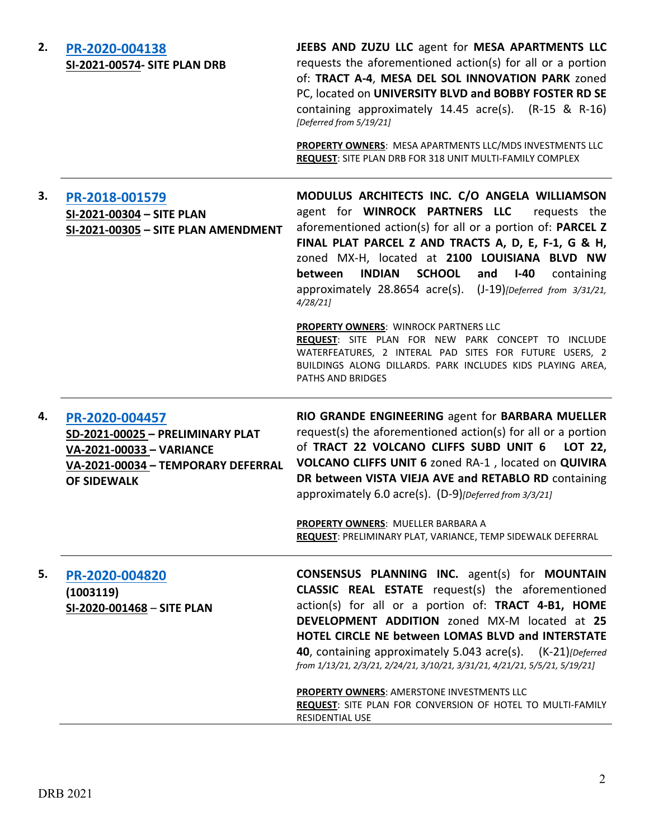| 2. | PR-2020-004138<br><b>SI-2021-00574- SITE PLAN DRB</b>                                                                                      | JEEBS AND ZUZU LLC agent for MESA APARTMENTS LLC<br>requests the aforementioned action(s) for all or a portion<br>of: TRACT A-4, MESA DEL SOL INNOVATION PARK zoned<br>PC, located on UNIVERSITY BLVD and BOBBY FOSTER RD SE<br>containing approximately 14.45 acre(s). (R-15 & R-16)<br>[Deferred from 5/19/21]                                                                                                                                                                                                                                                                 |
|----|--------------------------------------------------------------------------------------------------------------------------------------------|----------------------------------------------------------------------------------------------------------------------------------------------------------------------------------------------------------------------------------------------------------------------------------------------------------------------------------------------------------------------------------------------------------------------------------------------------------------------------------------------------------------------------------------------------------------------------------|
|    |                                                                                                                                            | PROPERTY OWNERS: MESA APARTMENTS LLC/MDS INVESTMENTS LLC<br>REQUEST: SITE PLAN DRB FOR 318 UNIT MULTI-FAMILY COMPLEX                                                                                                                                                                                                                                                                                                                                                                                                                                                             |
| 3. | PR-2018-001579<br>SI-2021-00304 - SITE PLAN<br>SI-2021-00305 - SITE PLAN AMENDMENT                                                         | MODULUS ARCHITECTS INC. C/O ANGELA WILLIAMSON<br>agent for WINROCK PARTNERS LLC<br>requests the<br>aforementioned action(s) for all or a portion of: PARCEL Z<br>FINAL PLAT PARCEL Z AND TRACTS A, D, E, F-1, G & H,<br>zoned MX-H, located at 2100 LOUISIANA BLVD NW<br><b>INDIAN</b><br><b>SCHOOL</b><br>between<br>and $I-40$<br>containing<br>approximately 28.8654 acre(s). (J-19)[Deferred from 3/31/21,<br>4/28/21                                                                                                                                                        |
|    |                                                                                                                                            | PROPERTY OWNERS: WINROCK PARTNERS LLC<br>REQUEST: SITE PLAN FOR NEW PARK CONCEPT TO INCLUDE<br>WATERFEATURES, 2 INTERAL PAD SITES FOR FUTURE USERS, 2<br>BUILDINGS ALONG DILLARDS. PARK INCLUDES KIDS PLAYING AREA,<br><b>PATHS AND BRIDGES</b>                                                                                                                                                                                                                                                                                                                                  |
| 4. | PR-2020-004457<br>SD-2021-00025 - PRELIMINARY PLAT<br>VA-2021-00033 - VARIANCE<br>VA-2021-00034 - TEMPORARY DEFERRAL<br><b>OF SIDEWALK</b> | RIO GRANDE ENGINEERING agent for BARBARA MUELLER<br>request(s) the aforementioned action(s) for all or a portion<br>of TRACT 22 VOLCANO CLIFFS SUBD UNIT 6<br>LOT 22,<br>VOLCANO CLIFFS UNIT 6 zoned RA-1, located on QUIVIRA<br>DR between VISTA VIEJA AVE and RETABLO RD containing<br>approximately 6.0 acre(s). (D-9)[Deferred from 3/3/21]<br>PROPERTY OWNERS: MUELLER BARBARA A<br>REQUEST: PRELIMINARY PLAT, VARIANCE, TEMP SIDEWALK DEFERRAL                                                                                                                             |
| 5. | PR-2020-004820<br>(1003119)<br>SI-2020-001468 - SITE PLAN                                                                                  | <b>CONSENSUS PLANNING INC.</b> agent(s) for <b>MOUNTAIN</b><br><b>CLASSIC REAL ESTATE</b> request(s) the aforementioned<br>action(s) for all or a portion of: TRACT 4-B1, HOME<br>DEVELOPMENT ADDITION zoned MX-M located at 25<br><b>HOTEL CIRCLE NE between LOMAS BLVD and INTERSTATE</b><br>40, containing approximately 5.043 acre(s). (K-21) [Deferred]<br>from 1/13/21, 2/3/21, 2/24/21, 3/10/21, 3/31/21, 4/21/21, 5/5/21, 5/19/21]<br><b>PROPERTY OWNERS: AMERSTONE INVESTMENTS LLC</b><br>REQUEST: SITE PLAN FOR CONVERSION OF HOTEL TO MULTI-FAMILY<br>RESIDENTIAL USE |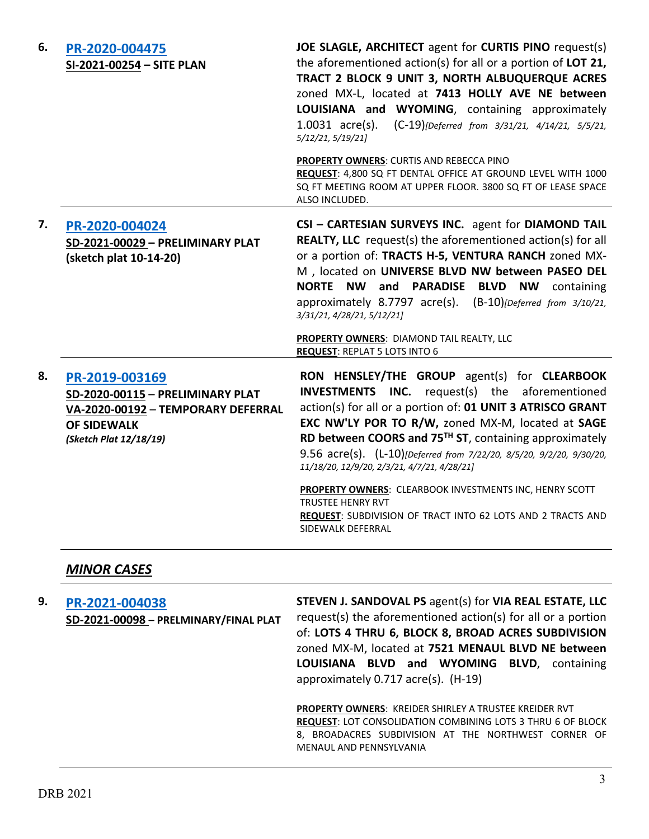| 6. | PR-2020-004475<br>SI-2021-00254 - SITE PLAN                                                                                              | JOE SLAGLE, ARCHITECT agent for CURTIS PINO request(s)<br>the aforementioned action(s) for all or a portion of LOT 21,<br>TRACT 2 BLOCK 9 UNIT 3, NORTH ALBUQUERQUE ACRES<br>zoned MX-L, located at 7413 HOLLY AVE NE between<br>LOUISIANA and WYOMING, containing approximately<br>$1.0031$ acre(s).<br>(C-19)[Deferred from 3/31/21, 4/14/21, 5/5/21,<br>5/12/21, 5/19/21]                                          |
|----|------------------------------------------------------------------------------------------------------------------------------------------|-----------------------------------------------------------------------------------------------------------------------------------------------------------------------------------------------------------------------------------------------------------------------------------------------------------------------------------------------------------------------------------------------------------------------|
|    |                                                                                                                                          | PROPERTY OWNERS: CURTIS AND REBECCA PINO<br>REQUEST: 4,800 SQ FT DENTAL OFFICE AT GROUND LEVEL WITH 1000<br>SQ FT MEETING ROOM AT UPPER FLOOR. 3800 SQ FT OF LEASE SPACE<br>ALSO INCLUDED.                                                                                                                                                                                                                            |
| 7. | PR-2020-004024<br>SD-2021-00029 - PRELIMINARY PLAT<br>(sketch plat 10-14-20)                                                             | CSI - CARTESIAN SURVEYS INC. agent for DIAMOND TAIL<br><b>REALTY, LLC</b> request(s) the aforementioned action(s) for all<br>or a portion of: TRACTS H-5, VENTURA RANCH zoned MX-<br>M , located on UNIVERSE BLVD NW between PASEO DEL<br>NORTE NW<br>and<br><b>PARADISE BLVD</b><br><b>NW</b><br>containing<br>approximately 8.7797 acre(s). (B-10)[Deferred from 3/10/21,<br>3/31/21, 4/28/21, 5/12/21]             |
|    |                                                                                                                                          | PROPERTY OWNERS: DIAMOND TAIL REALTY, LLC<br><b>REQUEST: REPLAT 5 LOTS INTO 6</b>                                                                                                                                                                                                                                                                                                                                     |
| 8. | PR-2019-003169<br>SD-2020-00115 - PRELIMINARY PLAT<br>VA-2020-00192 - TEMPORARY DEFERRAL<br><b>OF SIDEWALK</b><br>(Sketch Plat 12/18/19) | RON HENSLEY/THE GROUP agent(s) for CLEARBOOK<br><b>INVESTMENTS INC.</b> request(s) the aforementioned<br>action(s) for all or a portion of: 01 UNIT 3 ATRISCO GRANT<br>EXC NW'LY POR TO R/W, zoned MX-M, located at SAGE<br>RD between COORS and 75 <sup>TH</sup> ST, containing approximately<br>9.56 acre(s). (L-10)[Deferred from 7/22/20, 8/5/20, 9/2/20, 9/30/20,<br>11/18/20, 12/9/20, 2/3/21, 4/7/21, 4/28/21] |
|    |                                                                                                                                          | PROPERTY OWNERS: CLEARBOOK INVESTMENTS INC, HENRY SCOTT<br><b>TRUSTEE HENRY RVT</b><br>REQUEST: SUBDIVISION OF TRACT INTO 62 LOTS AND 2 TRACTS AND<br>SIDEWALK DEFERRAL                                                                                                                                                                                                                                               |
|    | <b>MINOR CASES</b>                                                                                                                       |                                                                                                                                                                                                                                                                                                                                                                                                                       |

| 9. | PR-2021-004038<br>SD-2021-00098 - PRELMINARY/FINAL PLAT | STEVEN J. SANDOVAL PS agent(s) for VIA REAL ESTATE, LLC<br>request(s) the aforementioned action(s) for all or a portion<br>of: LOTS 4 THRU 6, BLOCK 8, BROAD ACRES SUBDIVISION<br>zoned MX-M, located at 7521 MENAUL BLVD NE between<br>LOUISIANA BLVD and WYOMING BLVD, containing |
|----|---------------------------------------------------------|-------------------------------------------------------------------------------------------------------------------------------------------------------------------------------------------------------------------------------------------------------------------------------------|
|    |                                                         | approximately 0.717 acre(s). (H-19)<br><b>PROPERTY OWNERS: KREIDER SHIRLEY A TRUSTEE KREIDER RVT</b><br><b>REQUEST: LOT CONSOLIDATION COMBINING LOTS 3 THRU 6 OF BLOCK</b><br>8. BROADACRES SUBDIVISION AT THE NORTHWEST CORNER OF<br>MENAUL AND PENNSYLVANIA                       |